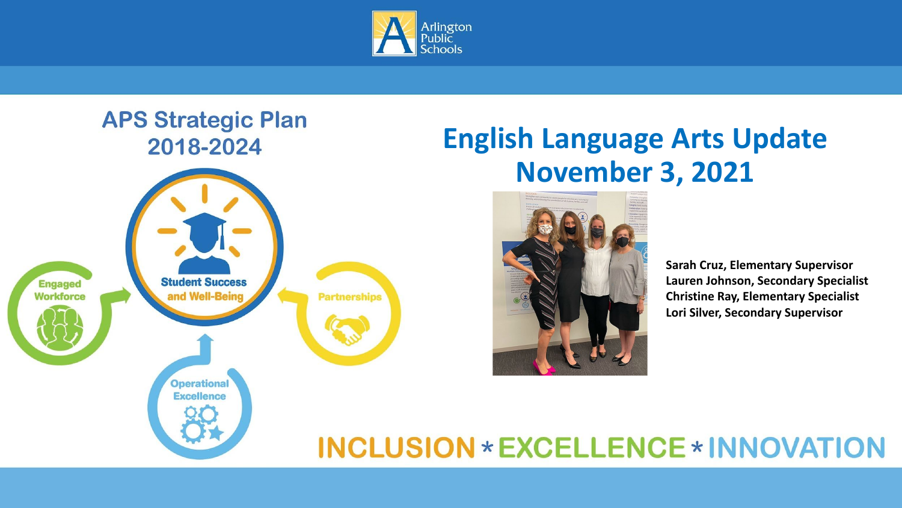

#### **APS Strategic Plan** 2018-2024



## **English Language Arts Update November 3, 2021**



**Sarah Cruz, Elementary Supervisor Lauren Johnson, Secondary Specialist Christine Ray, Elementary Specialist Lori Silver, Secondary Supervisor**

### **INCLUSION \* EXCELLENCE \* INNOVATION**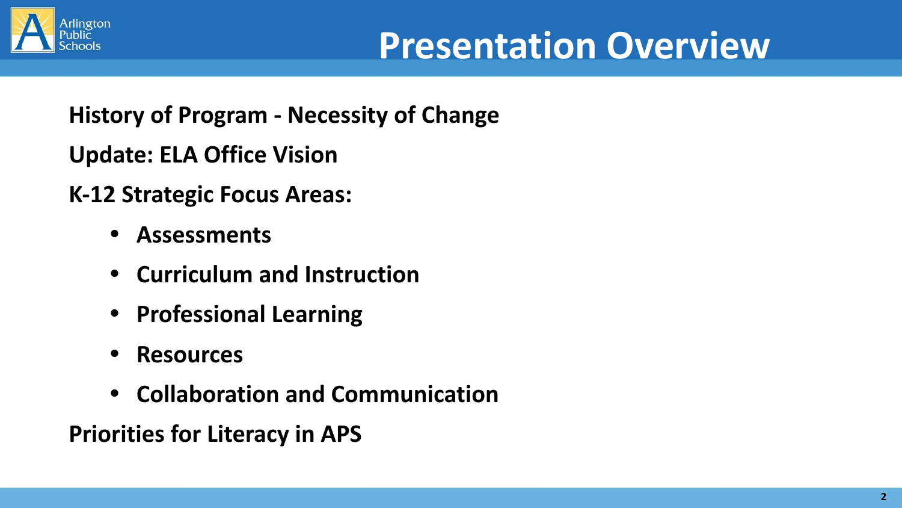

**History of Program - Necessity of Change** 

**Update: ELA Office Vision**

**K-12 Strategic Focus Areas:**

- **• Assessments**
- **• Curriculum and Instruction**
- **• Professional Learning**
- **• Resources**
- **• Collaboration and Communication**

**Priorities for Literacy in APS**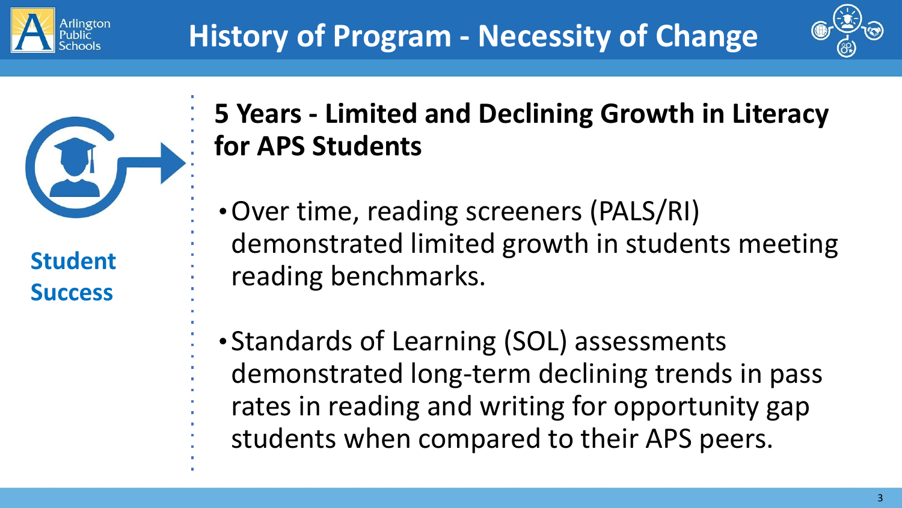



**Student Success**

# **5 Years - Limited and Declining Growth in Literacy for APS Students**

- •Over time, reading screeners (PALS/RI) demonstrated limited growth in students meeting reading benchmarks.
- Standards of Learning (SOL) assessments demonstrated long-term declining trends in pass rates in reading and writing for opportunity gap students when compared to their APS peers.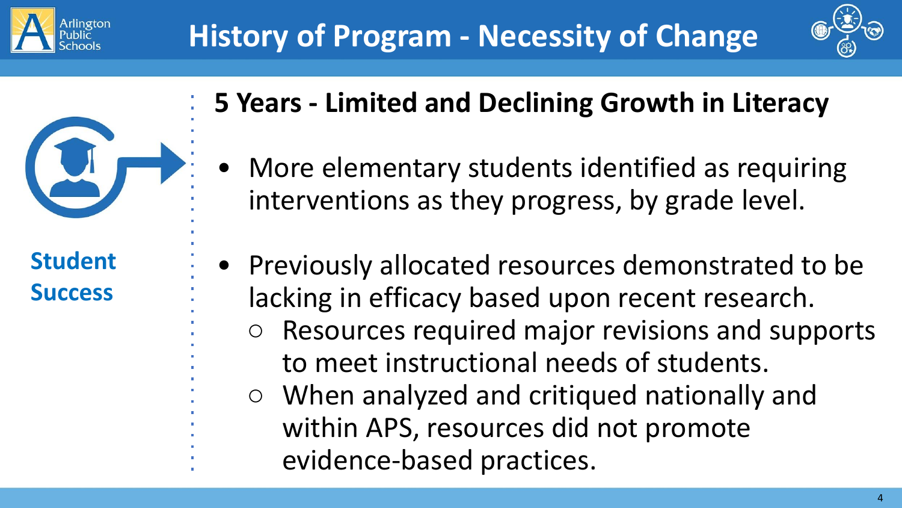

**Student** 

**Success**



- **5 Years Limited and Declining Growth in Literacy**
	- More elementary students identified as requiring interventions as they progress, by grade level.
	- Previously allocated resources demonstrated to be lacking in efficacy based upon recent research.
		- Resources required major revisions and supports to meet instructional needs of students.
		- When analyzed and critiqued nationally and within APS, resources did not promote
			- evidence-based practices.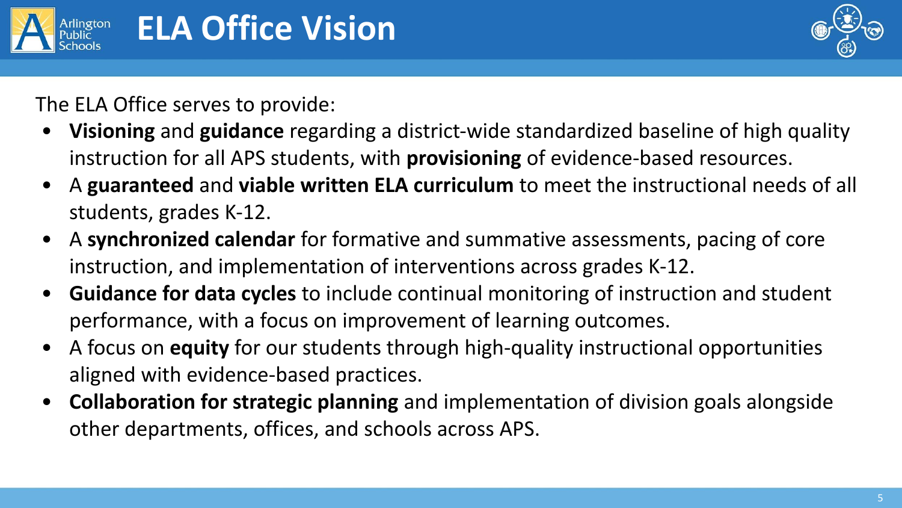



The ELA Office serves to provide:

- **Visioning** and **guidance** regarding a district-wide standardized baseline of high quality instruction for all APS students, with **provisioning** of evidence-based resources.
- A **guaranteed** and **viable written ELA curriculum** to meet the instructional needs of all students, grades K-12.
- A **synchronized calendar** for formative and summative assessments, pacing of core instruction, and implementation of interventions across grades K-12.
- **Guidance for data cycles** to include continual monitoring of instruction and student performance, with a focus on improvement of learning outcomes.
- A focus on **equity** for our students through high-quality instructional opportunities aligned with evidence-based practices.
- **Collaboration for strategic planning** and implementation of division goals alongside other departments, offices, and schools across APS.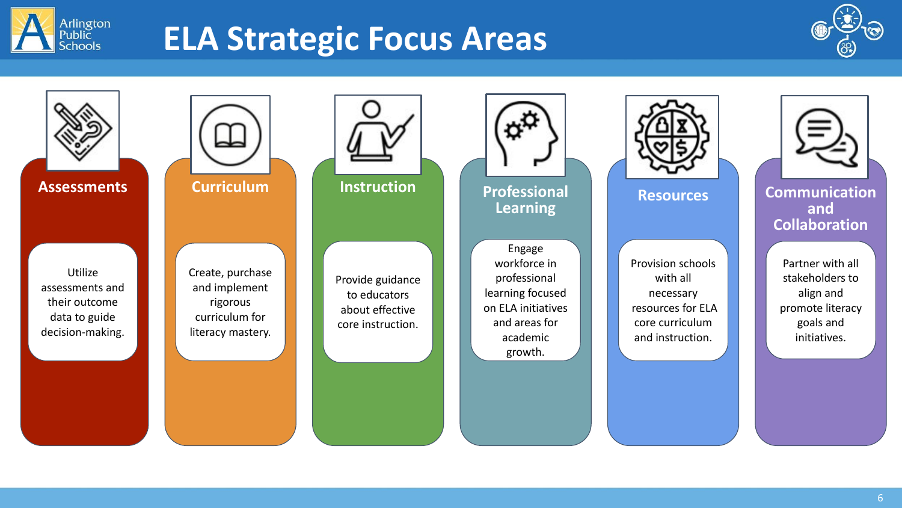

# **ELA Strategic Focus Areas**





Utilize assessments and their outcome data to guide decision-making.



Create, purchase and implement rigorous curriculum for literacy mastery.



Provide guidance to educators about effective core instruction.



**Learning**

Engage workforce in professional learning focused on ELA initiatives and areas for academic growth.



Provision schools with all necessary resources for ELA core curriculum and instruction.



**Resources Communication and Collaboration**

> Partner with all stakeholders to align and promote literacy goals and initiatives.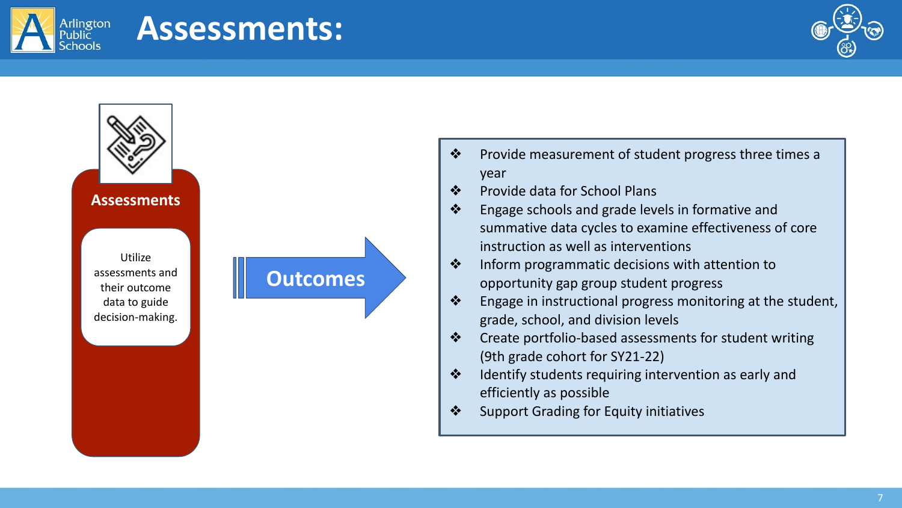

## **Assessments:**

**Outcomes**





- ❖ Provide measurement of student progress three times a year
- ❖ Provide data for School Plans
- ❖ Engage schools and grade levels in formative and summative data cycles to examine effectiveness of core instruction as well as interventions
- ❖ Inform programmatic decisions with attention to opportunity gap group student progress
- $\bullet$  Engage in instructional progress monitoring at the student, grade, school, and division levels
- ❖ Create portfolio-based assessments for student writing (9th grade cohort for SY21-22)
- ❖ Identify students requiring intervention as early and efficiently as possible
- ❖ Support Grading for Equity initiatives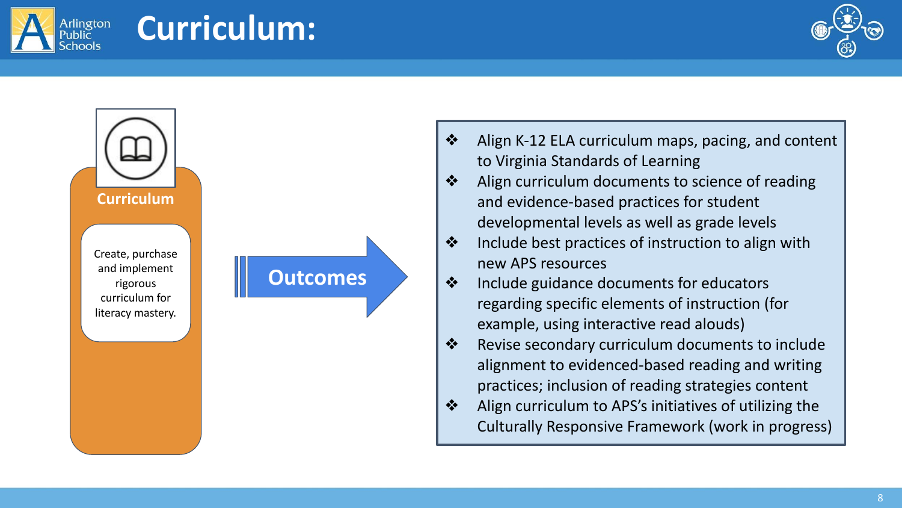



**Curriculum:**



- ❖ Align curriculum documents to science of reading and evidence-based practices for student developmental levels as well as grade levels
- ❖ Include best practices of instruction to align with new APS resources
- ❖ Include guidance documents for educators regarding specific elements of instruction (for example, using interactive read alouds)
- ❖ Revise secondary curriculum documents to include alignment to evidenced-based reading and writing practices; inclusion of reading strategies content
- ❖ Align curriculum to APS's initiatives of utilizing the Culturally Responsive Framework (work in progress)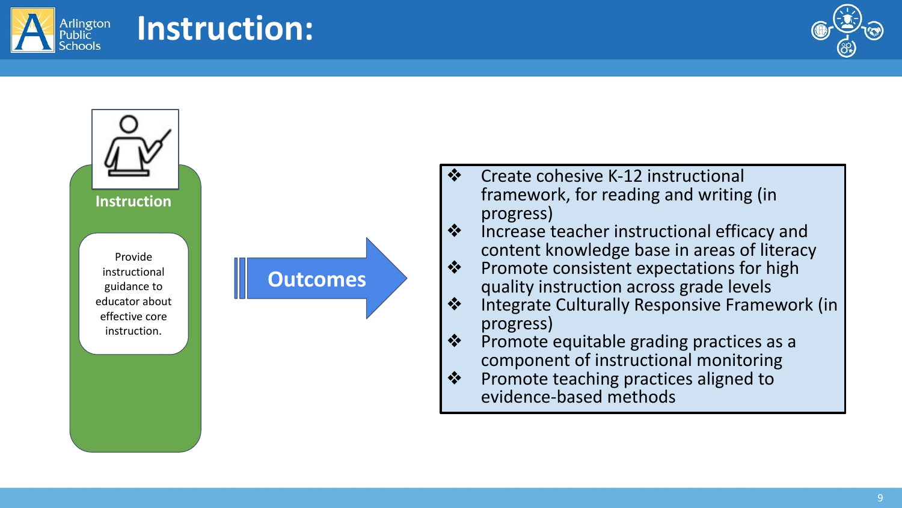





**Instruction:**

- ❖ Create cohesive K-12 instructional framework, for reading and writing (in progress)
- ❖ Increase teacher instructional efficacy and content knowledge base in areas of literacy
- ❖ Promote consistent expectations for high quality instruction across grade levels
- ❖ Integrate Culturally Responsive Framework (in progress)
- ❖ Promote equitable grading practices as a component of instructional monitoring
- ❖ Promote teaching practices aligned to evidence-based methods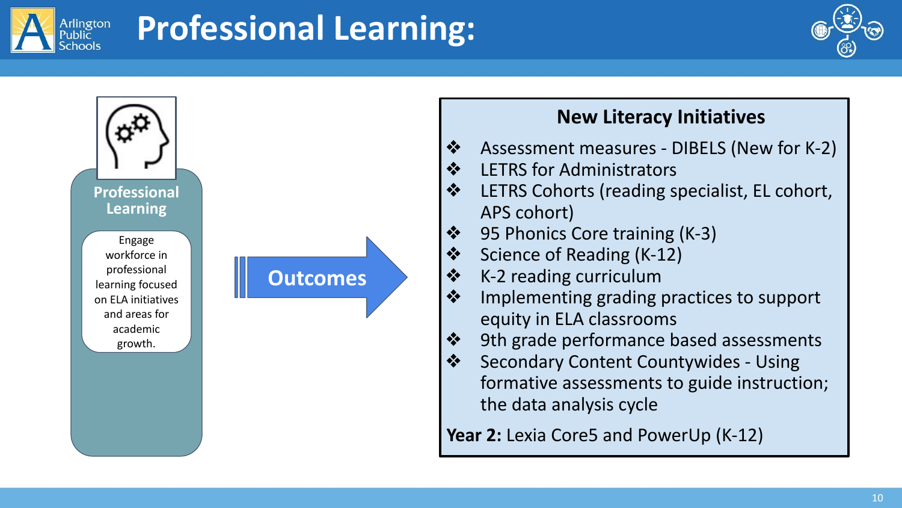

# **Professional Learning:**







#### **New Literacy Initiatives**

- ❖ Assessment measures DIBELS (New for K-2)
- ❖ LETRS for Administrators
- ❖ LETRS Cohorts (reading specialist, EL cohort, APS cohort)
- ❖ 95 Phonics Core training (K-3)
- ❖ Science of Reading (K-12)
- ❖ K-2 reading curriculum
- ❖ Implementing grading practices to support equity in ELA classrooms
- ❖ 9th grade performance based assessments
- ❖ Secondary Content Countywides Using formative assessments to guide instruction; the data analysis cycle

Year 2: Lexia Core5 and PowerUp (K-12)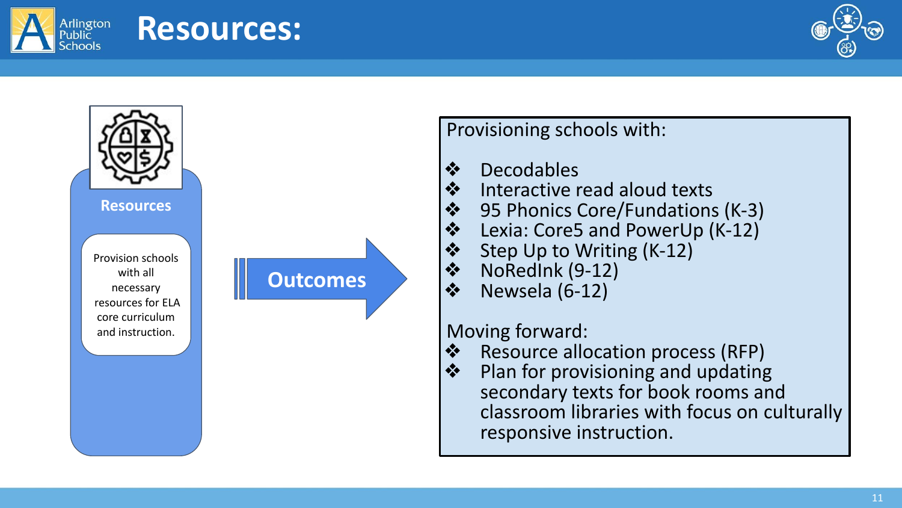





**Resources:**

Provisioning schools with:

# ❖ Decodables<br>❖ Interactive r

- Interactive read aloud texts
- ❖ 95 Phonics Core/Fundations (K-3)<br>❖ Lexia: Core5 and PowerUp (K-12)
- **❖** Lexia: Core5 and PowerUp (K-12)<br>❖ Step Up to Writing (K-12)
- ❖ Step Up to Writing (K-12)<br>❖ NoRedInk (9-12)
- ❖ NoRedInk (9-12)<br>❖ Newsela (6-12)
- ❖ Newsela (6-12)

# Moving forward:<br>  $\bullet$  Resource allo

- ❖ Resource allocation process (RFP)<br>❖ Plan for provisioning and undating
- Plan for provisioning and updating secondary texts for book rooms and classroom libraries with focus on culturally responsive instruction.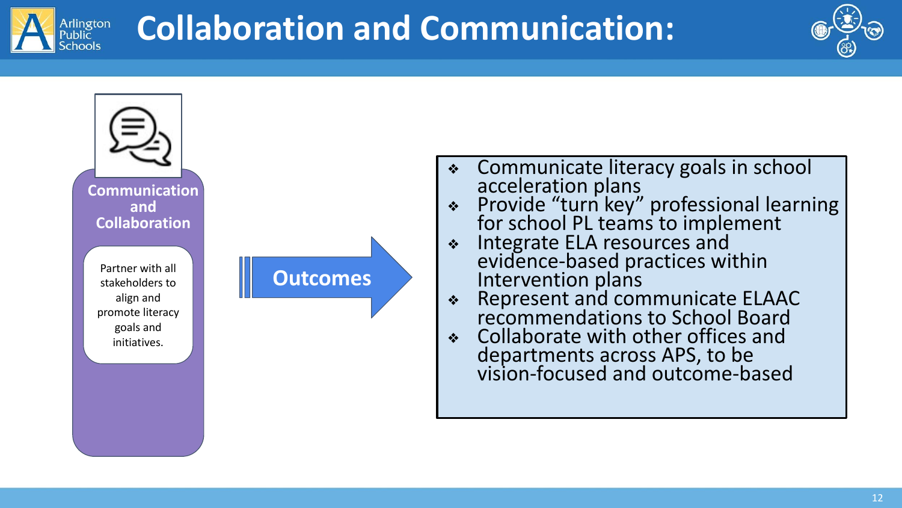



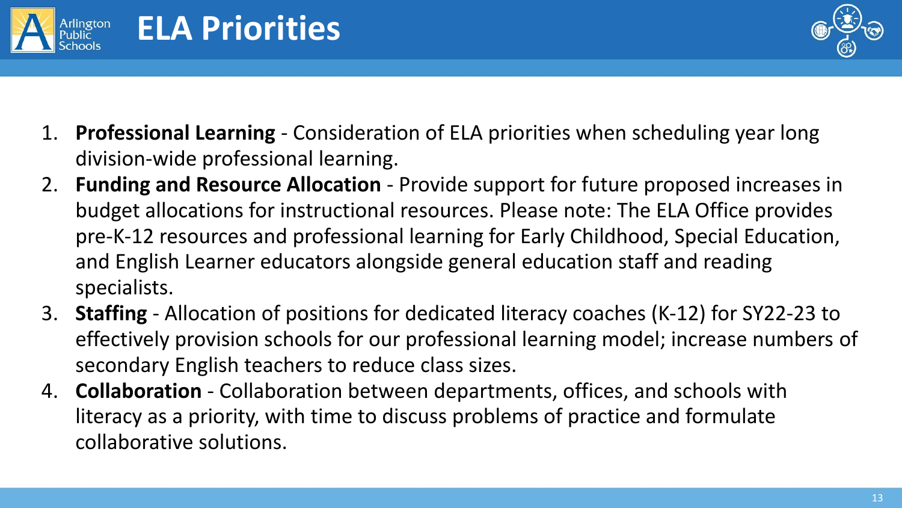![](_page_12_Picture_0.jpeg)

**ELA Priorities**

![](_page_12_Picture_1.jpeg)

- 1. **Professional Learning** Consideration of ELA priorities when scheduling year long division-wide professional learning.
- 2. **Funding and Resource Allocation** Provide support for future proposed increases in budget allocations for instructional resources. Please note: The ELA Office provides pre-K-12 resources and professional learning for Early Childhood, Special Education, and English Learner educators alongside general education staff and reading specialists.
- 3. **Staffing**  Allocation of positions for dedicated literacy coaches (K-12) for SY22-23 to effectively provision schools for our professional learning model; increase numbers of secondary English teachers to reduce class sizes.
- 4. **Collaboration**  Collaboration between departments, offices, and schools with literacy as a priority, with time to discuss problems of practice and formulate collaborative solutions.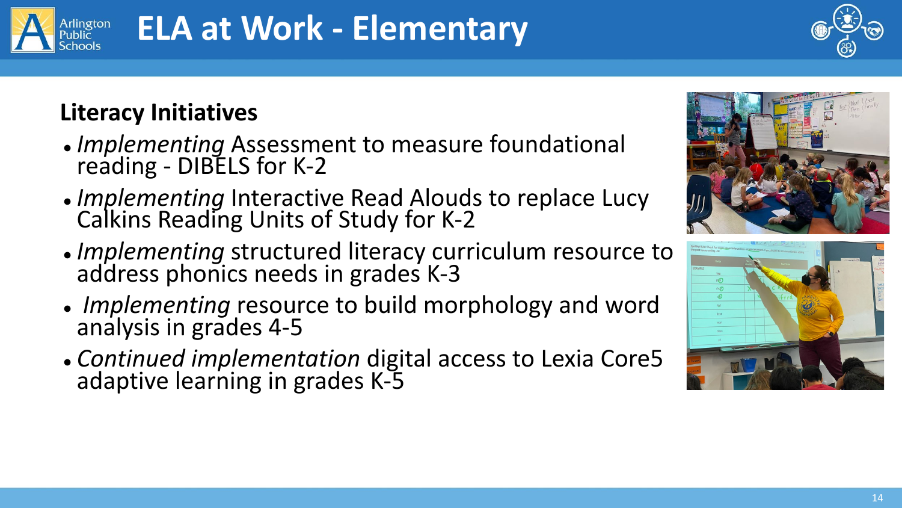# **ELA at Work - Elementary**

## **Literacy Initiatives**

- *Implementing* Assessment to measure foundational reading - DIBELS for K-2
- *● Implementing* Interactive Read Alouds to replace Lucy Calkins Reading Units of Study for K-2
- *● Implementing* structured literacy curriculum resource to address phonics needs in grades K-3
- *Implementing* resource to build morphology and word analysis in grades 4-5
- Continued implementation digital access to Lexia Core5 adaptive learning in grades K-5

![](_page_13_Picture_9.jpeg)

![](_page_13_Picture_10.jpeg)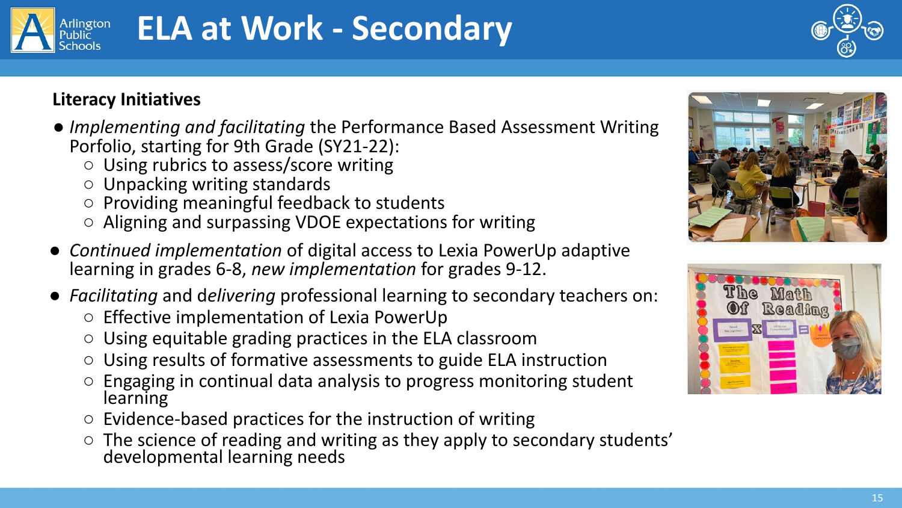# **ELA at Work - Secondary**

![](_page_14_Picture_2.jpeg)

#### **Literacy Initiatives**

- *Implementing and facilitating* the Performance Based Assessment Writing Porfolio, starting for 9th Grade (SY21-22):
	- Using rubrics to assess/score writing
	- Unpacking writing standards
	- Providing meaningful feedback to students
	- Aligning and surpassing VDOE expectations for writing
- *Continued implementation* of digital access to Lexia PowerUp adaptive learning in grades 6-8, *new implementation* for grades 9-12.
- *Facilitating* and d*elivering* professional learning to secondary teachers on:
	- Effective implementation of Lexia PowerUp
	- Using equitable grading practices in the ELA classroom
	- Using results of formative assessments to guide ELA instruction
	- Engaging in continual data analysis to progress monitoring student learning
	- $\circ$  Evidence-based practices for the instruction of writing
	- The science of reading and writing as they apply to secondary students' developmental learning needs

![](_page_14_Picture_17.jpeg)

![](_page_14_Picture_18.jpeg)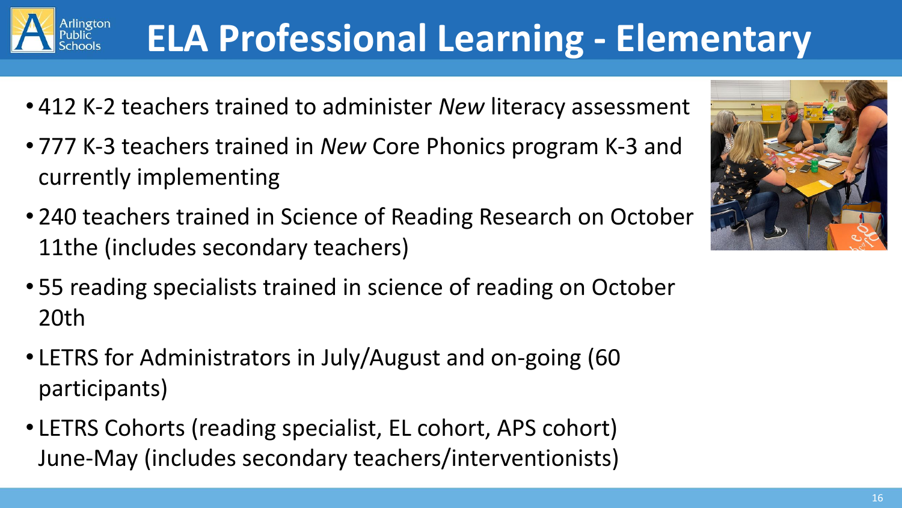# **ELA Professional Learning - Elementary**

- 412 K-2 teachers trained to administer *New* literacy assessment
- 777 K-3 teachers trained in *New* Core Phonics program K-3 and currently implementing
- 240 teachers trained in Science of Reading Research on October 11the (includes secondary teachers)
- 55 reading specialists trained in science of reading on October 20th
- LETRS for Administrators in July/August and on-going (60 participants)
- LETRS Cohorts (reading specialist, EL cohort, APS cohort) June-May (includes secondary teachers/interventionists)

![](_page_15_Picture_8.jpeg)

![](_page_15_Picture_9.jpeg)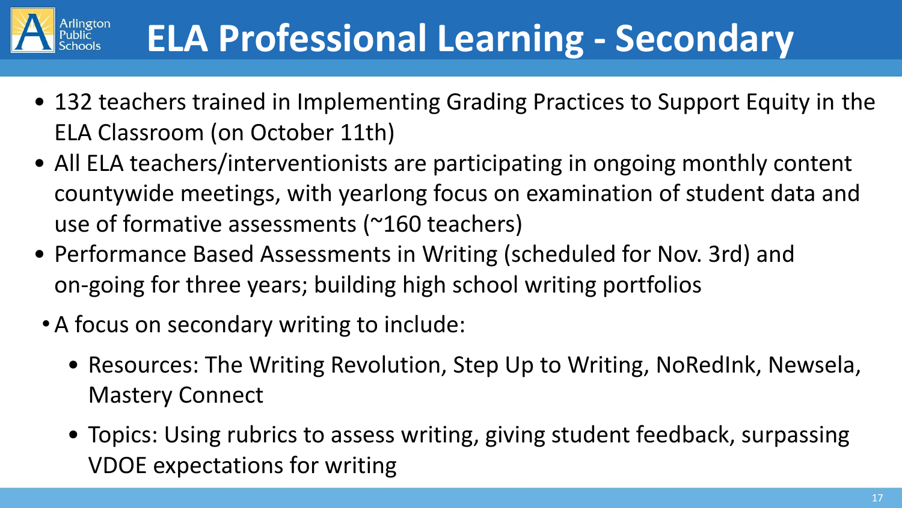![](_page_16_Picture_0.jpeg)

- 132 teachers trained in Implementing Grading Practices to Support Equity in the ELA Classroom (on October 11th)
- All ELA teachers/interventionists are participating in ongoing monthly content countywide meetings, with yearlong focus on examination of student data and use of formative assessments (~160 teachers)
- Performance Based Assessments in Writing (scheduled for Nov. 3rd) and on-going for three years; building high school writing portfolios
- A focus on secondary writing to include:
	- Resources: The Writing Revolution, Step Up to Writing, NoRedInk, Newsela, Mastery Connect
	- Topics: Using rubrics to assess writing, giving student feedback, surpassing VDOE expectations for writing